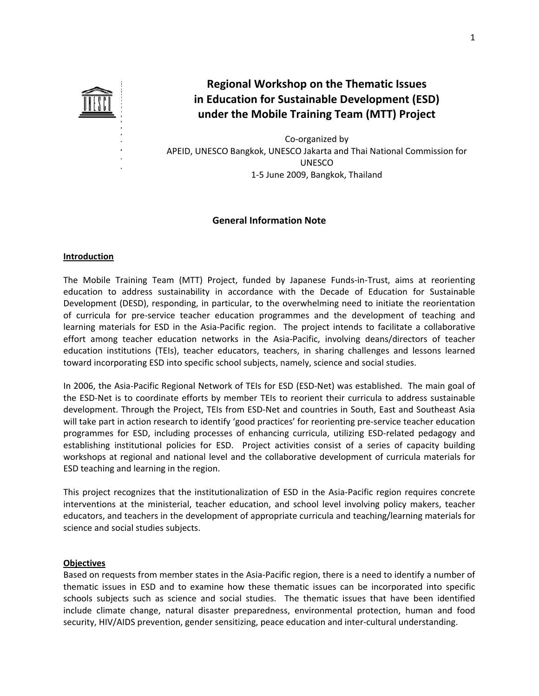

**Regional Workshop on the Thematic Issues in Education for Sustainable Development (ESD) under the Mobile Training Team (MTT) Project**

Co‐organized by APEID, UNESCO Bangkok, UNESCO Jakarta and Thai National Commission for UNESCO 1‐5 June 2009, Bangkok, Thailand

# **General Information Note**

# **Introduction**

The Mobile Training Team (MTT) Project, funded by Japanese Funds‐in‐Trust, aims at reorienting education to address sustainability in accordance with the Decade of Education for Sustainable Development (DESD), responding, in particular, to the overwhelming need to initiate the reorientation of curricula for pre‐service teacher education programmes and the development of teaching and learning materials for ESD in the Asia‐Pacific region. The project intends to facilitate a collaborative effort among teacher education networks in the Asia‐Pacific, involving deans/directors of teacher education institutions (TEIs), teacher educators, teachers, in sharing challenges and lessons learned toward incorporating ESD into specific school subjects, namely, science and social studies.

In 2006, the Asia‐Pacific Regional Network of TEIs for ESD (ESD‐Net) was established. The main goal of the ESD‐Net is to coordinate efforts by member TEIs to reorient their curricula to address sustainable development. Through the Project, TEIs from ESD‐Net and countries in South, East and Southeast Asia will take part in action research to identify 'good practices' for reorienting pre‐service teacher education programmes for ESD, including processes of enhancing curricula, utilizing ESD‐related pedagogy and establishing institutional policies for ESD. Project activities consist of a series of capacity building workshops at regional and national level and the collaborative development of curricula materials for ESD teaching and learning in the region.

This project recognizes that the institutionalization of ESD in the Asia‐Pacific region requires concrete interventions at the ministerial, teacher education, and school level involving policy makers, teacher educators, and teachers in the development of appropriate curricula and teaching/learning materials for science and social studies subjects.

# **Objectives**

Based on requests from member states in the Asia‐Pacific region, there is a need to identify a number of thematic issues in ESD and to examine how these thematic issues can be incorporated into specific schools subjects such as science and social studies. The thematic issues that have been identified include climate change, natural disaster preparedness, environmental protection, human and food security, HIV/AIDS prevention, gender sensitizing, peace education and inter-cultural understanding.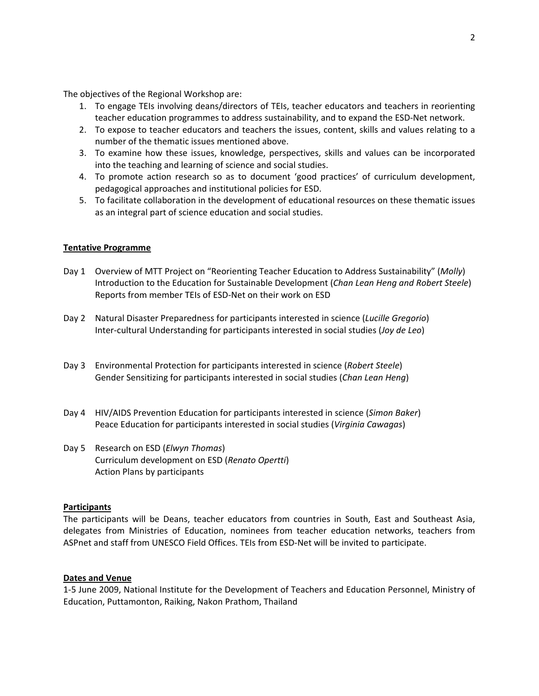The objectives of the Regional Workshop are:

- 1. To engage TEIs involving deans/directors of TEIs, teacher educators and teachers in reorienting teacher education programmes to address sustainability, and to expand the ESD‐Net network.
- 2. To expose to teacher educators and teachers the issues, content, skills and values relating to a number of the thematic issues mentioned above.
- 3. To examine how these issues, knowledge, perspectives, skills and values can be incorporated into the teaching and learning of science and social studies.
- 4. To promote action research so as to document 'good practices' of curriculum development, pedagogical approaches and institutional policies for ESD.
- 5. To facilitate collaboration in the development of educational resources on these thematic issues as an integral part of science education and social studies.

# **Tentative Programme**

- Day 1 Overview of MTT Project on "Reorienting Teacher Education to Address Sustainability" (*Molly*) Introduction to the Education for Sustainable Development (*Chan Lean Heng and Robert Steele*) Reports from member TEIs of ESD‐Net on their work on ESD
- Day 2 Natural Disaster Preparedness for participants interested in science (*Lucille Gregorio*) Inter‐cultural Understanding for participants interested in social studies (*Joy de Leo*)
- Day 3 Environmental Protection for participants interested in science (*Robert Steele*) Gender Sensitizing for participants interested in social studies (*Chan Lean Heng*)
- Day 4 HIV/AIDS Prevention Education for participants interested in science (*Simon Baker*) Peace Education for participants interested in social studies (*Virginia Cawagas*)
- Day 5 Research on ESD (*Elwyn Thomas*) Curriculum development on ESD (*Renato Opertti*) Action Plans by participants

# **Participants**

The participants will be Deans, teacher educators from countries in South, East and Southeast Asia, delegates from Ministries of Education, nominees from teacher education networks, teachers from ASPnet and staff from UNESCO Field Offices. TEIs from ESD‐Net will be invited to participate.

# **Dates and Venue**

1‐5 June 2009, National Institute for the Development of Teachers and Education Personnel, Ministry of Education, Puttamonton, Raiking, Nakon Prathom, Thailand